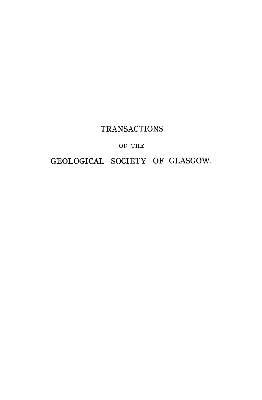## **TRANSACTIONS**

### **OF THE**

### **GEOLOGICAL SOCIETY OF GLASGOW.**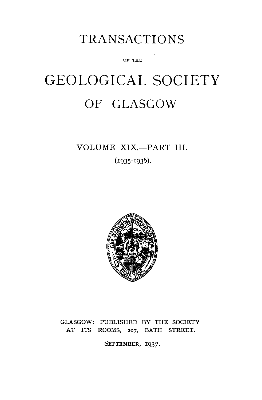# TRANSACTIONS

**OF THE** 

# GEOLOGICAL SOCIETY OF GLASGOW

# **VOLUME XIX.—PART III.**

**(I935-I936).** 



### **GLASGOW: PUBLISHED BY THE SOCIETY AT ITS ROOMS,** 207, **BATH STREET.**

**SEPTEMBER, 1937.**